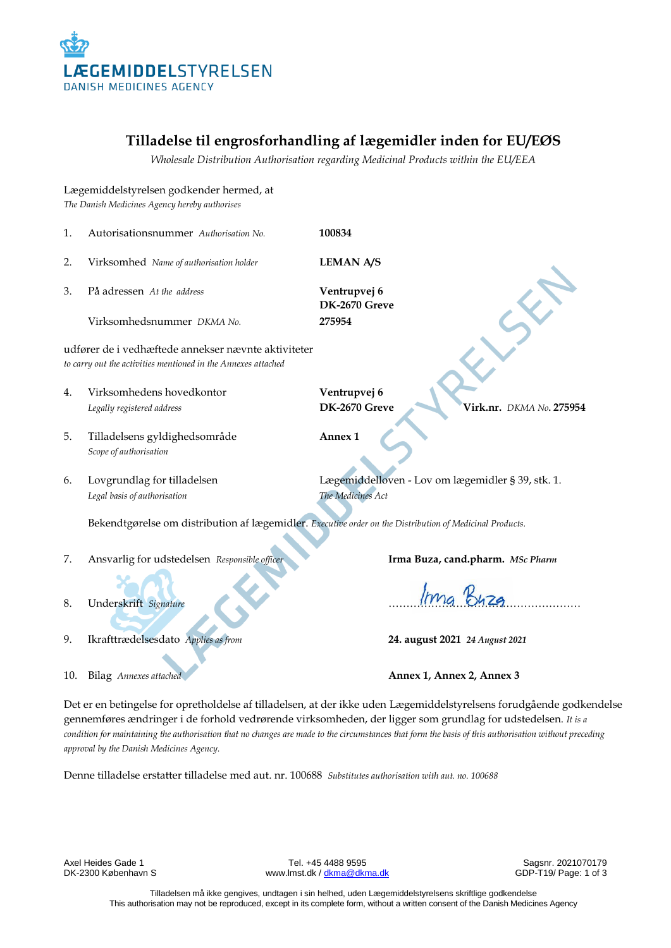

# **Tilladelse til engrosforhandling af lægemidler inden for EU/EØS**

*Wholesale Distribution Authorisation regarding Medicinal Products within the EU/EEA*

Lægemiddelstyrelsen godkender hermed, at *The Danish Medicines Agency hereby authorises* 1. Autorisationsnummer *Authorisation No.* **100834** 2. Virksomhed *Name of authorisation holder* **LEMAN A/S** 3. På adressen *At the address* **Ventrupvej 6 DK-2670 Greve** Virksomhedsnummer *DKMA No.* **275954** udfører de i vedhæftede annekser nævnte aktiviteter *to carry out the activities mentioned in the Annexes attached* 4. Virksomhedens hovedkontor **Ventrupvej 6** *Legally registered address* **DK-2670 Greve Virk.nr.** *DKMA No***. 275954** 5. Tilladelsens gyldighedsområde **Annex 1** *Scope of authorisation* 6. Lovgrundlag for tilladelsen Lægemiddelloven - Lov om lægemidler § 39, stk. 1. *Legal basis of authorisation The Medicines Act* Bekendtgørelse om distribution af lægemidler. *Executive order on the Distribution of Medicinal Products.* 7. Ansvarlig for udstedelsen *Responsible officer* **Irma Buza, cand.pharm.** *MSc Pharm* 8. Underskrift *Signature* ……………………………………………… 9. Ikrafttrædelsesdato *Applies as from* **24. august 2021** *24 August 2021* 10. Bilag *Annexes attached* **Annex 1, Annex 2, Annex 3**

Det er en betingelse for opretholdelse af tilladelsen, at der ikke uden Lægemiddelstyrelsens forudgående godkendelse gennemføres ændringer i de forhold vedrørende virksomheden, der ligger som grundlag for udstedelsen. *It is a condition for maintaining the authorisation that no changes are made to the circumstances that form the basis of this authorisation without preceding approval by the Danish Medicines Agency.*

Denne tilladelse erstatter tilladelse med aut. nr. 100688 *Substitutes authorisation with aut. no. 100688*

Axel Heides Gade 1 **Axel Heides Gade 1** Tel. +45 4488 9595 Sagsnr. 2021070179<br>DK-2300 København S Sagsnr. 2021070179 (www.lmst.dk / dkma@dkma.dk www.lmst.dk [/ dkma@dkma.dk](mailto:dkma@dkma.dk)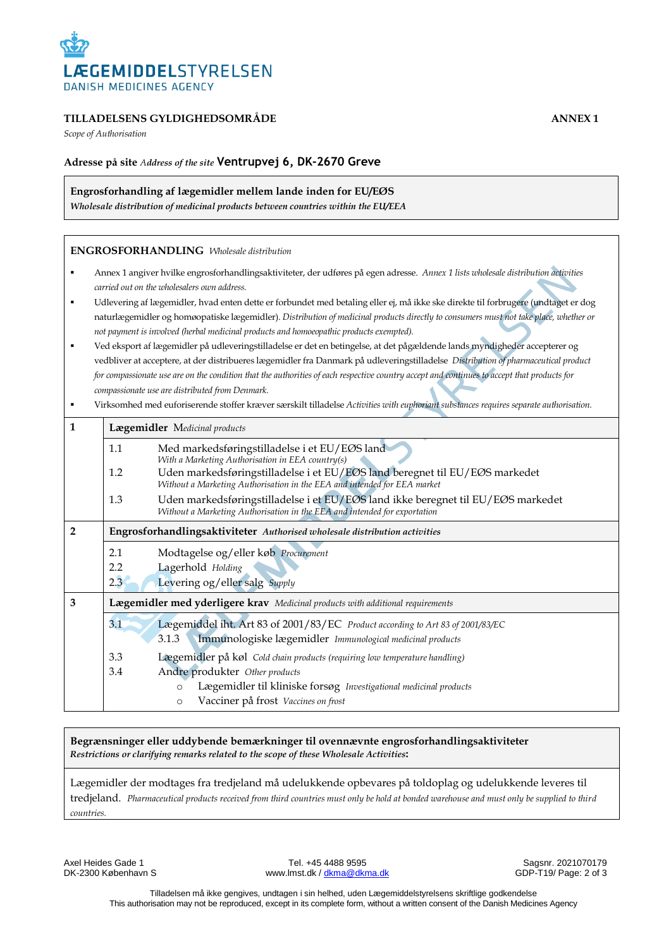

## **TILLADELSENS GYLDIGHEDSOMRÅDE ANNEX 1**

*Scope of Authorisation*

## **Adresse på site** *Address of the site* **Ventrupvej 6, DK-2670 Greve**

**Engrosforhandling af lægemidler mellem lande inden for EU/EØS**

*Wholesale distribution of medicinal products between countries within the EU/EEA* 

#### **ENGROSFORHANDLING** *Wholesale distribution*

- Annex 1 angiver hvilke engrosforhandlingsaktiviteter, der udføres på egen adresse. *Annex 1 lists wholesale distribution activities carried out on the wholesalers own address.*
- Udlevering af lægemidler, hvad enten dette er forbundet med betaling eller ej, må ikke ske direkte til forbrugere (undtaget er dog naturlægemidler og homøopatiske lægemidler). *Distribution of medicinal products directly to consumers must not take place, whether or not payment is involved (herbal medicinal products and homoeopathic products exempted).*
- Ved eksport af lægemidler på udleveringstilladelse er det en betingelse, at det pågældende lands myndigheder accepterer og vedbliver at acceptere, at der distribueres lægemidler fra Danmark på udleveringstilladelse *Distribution of pharmaceutical product for compassionate use are on the condition that the authorities of each respective country accept and continues to accept that products for compassionate use are distributed from Denmark.*
- Virksomhed med euforiserende stoffer kræver særskilt tilladelse *Activities with euphoriant substances requires separate authorisation.*

| 1            | Lægemidler Medicinal products                                              |                                                                                                                                                               |  |  |
|--------------|----------------------------------------------------------------------------|---------------------------------------------------------------------------------------------------------------------------------------------------------------|--|--|
|              | 1.1                                                                        | Med markedsføringstilladelse i et EU/EØS land<br>With a Marketing Authorisation in EEA country(s)                                                             |  |  |
|              | 1.2                                                                        | Uden markedsføringstilladelse i et EU/EØS land beregnet til EU/EØS markedet<br>Without a Marketing Authorisation in the EEA and intended for EEA market       |  |  |
|              | 1.3                                                                        | Uden markedsføringstilladelse i et EU/EØS land ikke beregnet til EU/EØS markedet<br>Without a Marketing Authorisation in the EEA and intended for exportation |  |  |
| $\mathbf{2}$ | Engrosforhandlingsaktiviteter Authorised wholesale distribution activities |                                                                                                                                                               |  |  |
|              | 2.1<br>2.2                                                                 | Modtagelse og/eller køb Procurement<br>Lagerhold Holding                                                                                                      |  |  |
|              | 2.3                                                                        | Levering og/eller salg Supply                                                                                                                                 |  |  |
| 3            |                                                                            | Lægemidler med yderligere krav Medicinal products with additional requirements                                                                                |  |  |
|              | 3.1                                                                        | Lægemiddel iht. Art 83 of 2001/83/EC Product according to Art 83 of 2001/83/EC<br>Immunologiske lægemidler Immunological medicinal products<br>3.1.3          |  |  |
|              | 3.3                                                                        | Lægemidler på køl Cold chain products (requiring low temperature handling)                                                                                    |  |  |
|              | 3.4                                                                        | Andre produkter Other products                                                                                                                                |  |  |
|              |                                                                            | Lægemidler til kliniske forsøg Investigational medicinal products<br>$\circ$<br>Vacciner på frost Vaccines on frost<br>$\circ$                                |  |  |

#### **Begrænsninger eller uddybende bemærkninger til ovennævnte engrosforhandlingsaktiviteter** *Restrictions or clarifying remarks related to the scope of these Wholesale Activities***:**

Lægemidler der modtages fra tredjeland må udelukkende opbevares på toldoplag og udelukkende leveres til tredjeland. *Pharmaceutical products received from third countries must only be hold at bonded warehouse and must only be supplied to third countries.*

Axel Heides Gade 1 **Tel. +45 4488 9595** Sagsnr. 2021070179<br>DK-2300 København S Sagsnr. 2021070179 Sagsnr. 2021070179 www.lmst.dk [/ dkma@dkma.dk](mailto:dkma@dkma.dk)

Tilladelsen må ikke gengives, undtagen i sin helhed, uden Lægemiddelstyrelsens skriftlige godkendelse This authorisation may not be reproduced, except in its complete form, without a written consent of the Danish Medicines Agency